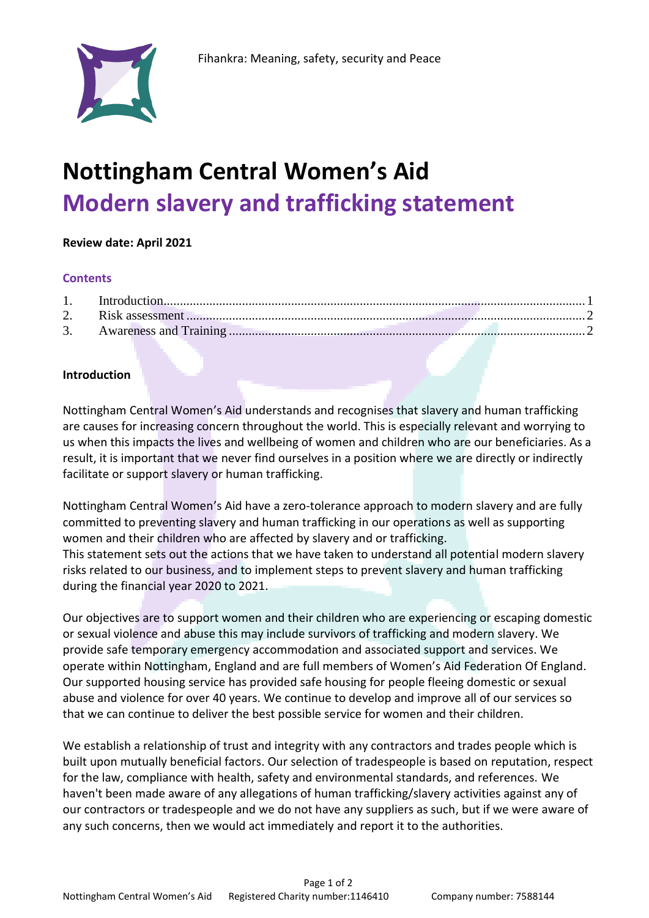

# **Nottingham Central Women's Aid Modern slavery and trafficking statement**

## **Review date: April 2021**

#### **Contents**

## <span id="page-0-0"></span>**Introduction**

Nottingham Central Women's Aid understands and recognises that slavery and human trafficking are causes for increasing concern throughout the world. This is especially relevant and worrying to us when this impacts the lives and wellbeing of women and children who are our beneficiaries. As a result, it is important that we never find ourselves in a position where we are directly or indirectly facilitate or support slavery or human trafficking.

Nottingham Central Women's Aid have a zero-tolerance approach to modern slavery and are fully committed to preventing slavery and human trafficking in our operations as well as supporting women and their children who are affected by slavery and or trafficking. This statement sets out the actions that we have taken to understand all potential modern slavery risks related to our business, and to implement steps to prevent slavery and human trafficking during the financial year 2020 to 2021.

Our objectives are to support women and their children who are experiencing or escaping domestic or sexual violence and abuse this may include survivors of trafficking and modern slavery. We provide safe temporary emergency accommodation and associated support and services. We operate within Nottingham, England and are full members of Women's Aid Federation Of England. Our supported housing service has provided safe housing for people fleeing domestic or sexual abuse and violence for over 40 years. We continue to develop and improve all of our services so that we can continue to deliver the best possible service for women and their children.

We establish a relationship of trust and integrity with any contractors and trades people which is built upon mutually beneficial factors. Our selection of tradespeople is based on reputation, respect for the law, compliance with health, safety and environmental standards, and references. We haven't been made aware of any allegations of human trafficking/slavery activities against any of our contractors or tradespeople and we do not have any suppliers as such, but if we were aware of any such concerns, then we would act immediately and report it to the authorities.